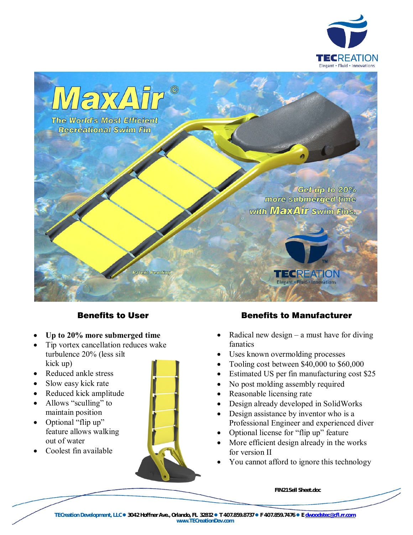



## Benefits to User

- **Up to 20% more submerged time**
- Tip vortex cancellation reduces wake turbulence 20% (less silt kick up)
- Reduced ankle stress
- Slow easy kick rate
- Reduced kick amplitude
- Allows "sculling" to maintain position
- Optional "flip up" feature allows walking out of water
- Coolest fin available



## Benefits to Manufacturer

- Radical new design a must have for diving fanatics
- Uses known overmolding processes
- Tooling cost between \$40,000 to \$60,000
- Estimated US per fin manufacturing cost \$25
- No post molding assembly required
- Reasonable licensing rate
- Design already developed in SolidWorks
- Design assistance by inventor who is a Professional Engineer and experienced diver
- Optional license for "flip up" feature
- More efficient design already in the works for version II
- You cannot afford to ignore this technology

**FIN21 Sell Sheet.doc**